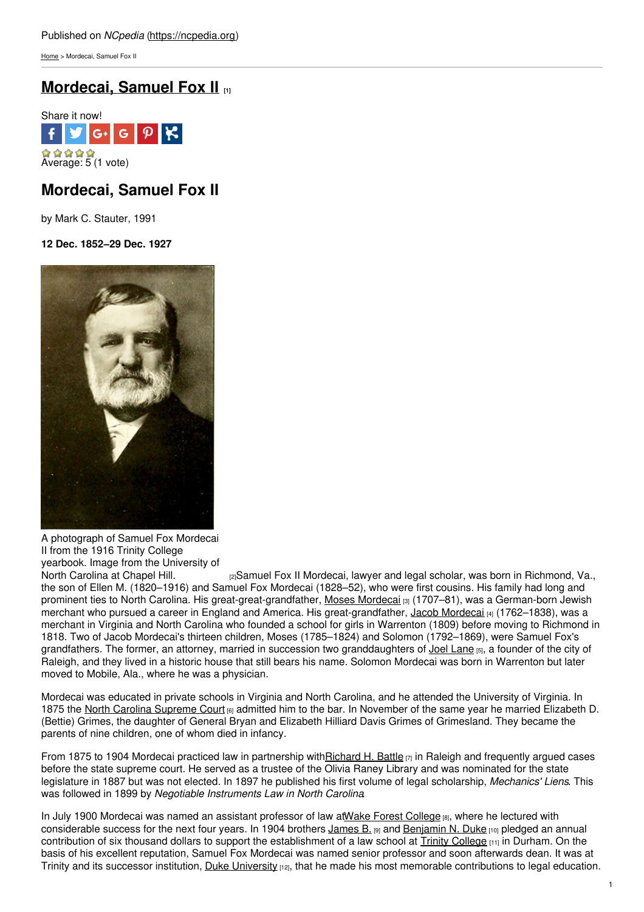[Home](https://ncpedia.org/) > Mordecai, Samuel Fox II

# **[Mordecai,](https://ncpedia.org/biography/mordecai-samuel-fox-ii) Samuel Fox II [1]**



# **Mordecai, Samuel Fox II**

by Mark C. Stauter, 1991

**12 Dec. 1852–29 Dec. 1927**



A photograph of Samuel Fox Mordecai II from the 1916 Trinity College yearbook. Image from the University of<br>North Carolina at Chapel Hill.

 $n_{2}$ Samuel Fox II Mordecai, lawyer and legal scholar, was born in Richmond, Va., the son of Ellen M. (1820–1916) and Samuel Fox Mordecai (1828–52), who were first cousins. His family had long and prominent ties to North Carolina. His great-great-grandfather, Moses [Mordecai](https://ncpedia.org/biography/mordecai-moses) [3] (1707–81), was a German-born Jewish merchant who pursued a career in England and America. His great-grandfather, Jacob [Mordecai](https://ncpedia.org/biography/mordecai-jacob) [4] (1762–1838), was a merchant in Virginia and North Carolina who founded a school for girls in Warrenton (1809) before moving to Richmond in 1818. Two of Jacob Mordecai's thirteen children, Moses (1785–1824) and Solomon (1792–1869), were Samuel Fox's grandfathers. The former, an attorney, married in succession two granddaughters of Joel [Lane](https://ncpedia.org/biography/lane-joel) [5], a founder of the city of Raleigh, and they lived in a historic house that still bears his name. Solomon Mordecai was born in Warrenton but later moved to Mobile, Ala., where he was a physician.

Mordecai was educated in private schools in Virginia and North Carolina, and he attended the University of Virginia. In 1875 the North Carolina [Supreme](https://ncpedia.org/supreme-court-north-carolina) Court [6] admitted him to the bar. In November of the same year he married Elizabeth D. (Bettie) Grimes, the daughter of General Bryan and Elizabeth Hilliard Davis Grimes of Grimesland. They became the parents of nine children, one of whom died in infancy.

From 1875 to 1904 Mordecai practiced law in partnership wit[hRichard](https://ncpedia.org/biography/battle-richard-henry) H. Battle  $\eta$  in Raleigh and frequently argued cases before the state supreme court. He served as a trustee of the Olivia Raney Library and was nominated for the state legislature in 1887 but was not elected. In 1897 he published his first volume of legal scholarship, *Mechanics' Liens*. This was followed in 1899 by *Negotiable Instruments Law in North Carolina*.

In July 1900 Mordecai was named an assistant professor of law at Wake Forest [College](https://ncpedia.org/wake-forest-university) [8], where he lectured with considerable success for the next four years. In 1904 brothers [James](https://ncpedia.org/biography/duke-james-buchanan) B. [9] and [Benjamin](https://ncpedia.org/biography/duke-benjamin-newton) N. Duke [10] pledged an annual contribution of six thousand dollars to support the establishment of a law school at  $\overline{\text{Trinity College}}$  $\overline{\text{Trinity College}}$  $\overline{\text{Trinity College}}$  in Durham. On the basis of his excellent reputation, Samuel Fox Mordecai was named senior professor and soon afterwards dean. It was at Trinity and its successor institution, Duke [University](https://ncpedia.org/duke-university)  $12$ , that he made his most memorable contributions to legal education.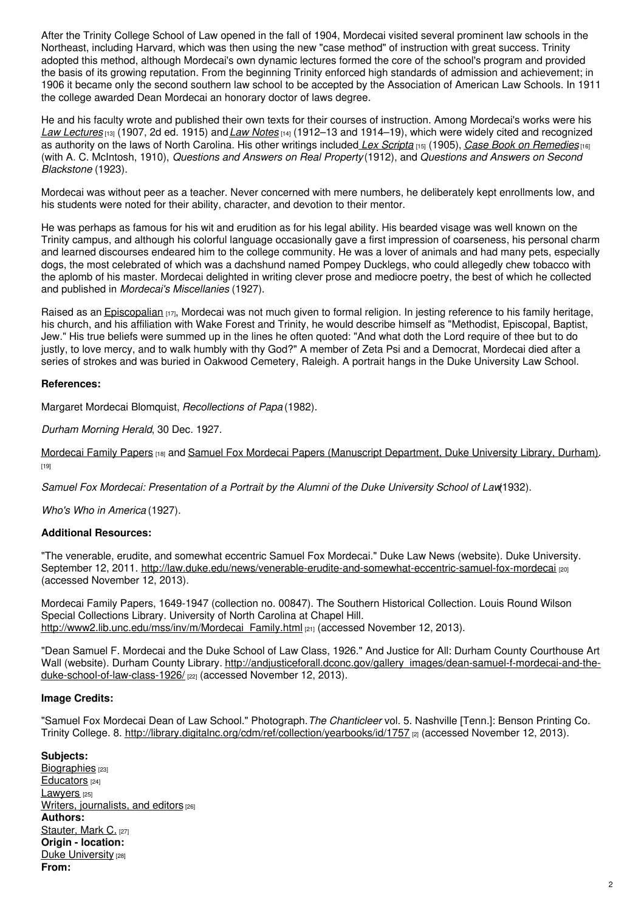After the Trinity College School of Law opened in the fall of 1904, Mordecai visited several prominent law schools in the Northeast, including Harvard, which was then using the new "case method" of instruction with great success. Trinity adopted this method, although Mordecai's own dynamic lectures formed the core of the school's program and provided the basis of its growing reputation. From the beginning Trinity enforced high standards of admission and achievement; in 1906 it became only the second southern law school to be accepted by the Association of American Law Schools. In 1911 the college awarded Dean Mordecai an honorary doctor of laws degree.

He and his faculty wrote and published their own texts for their courses of instruction. Among Mordecai's works were his *Law [Lectures](http://books.google.com/books?id=6_c_AAAAYAAJ&pg=PA763#v=onepage&q&f=false)* [13] (1907, 2d ed. 1915) and*Law [Notes](http://books.google.com/books?id=4JtBAAAAYAAJ&pg=PP5#v=onepage&q&f=false)* [14] (1912–13 and 1914–19), which were widely cited and recognized as authority on the laws of North Carolina. His other writings included *Lex [Scripta](http://books.google.com/books?id=Ki00AQAAMAAJ&pg=PA1#v=onepage&q&f=false)* [15] (1905), *Case Book on [Remedies](http://books.google.com/books?id=pjEwAQAAMAAJ&pg=PR1#v=onepage&q&f=false)* [16] (with A. C. McIntosh, 1910), *Questions and Answers on Real Property* (1912), and *Questions and Answers on Second Blackstone* (1923).

Mordecai was without peer as a teacher. Never concerned with mere numbers, he deliberately kept enrollments low, and his students were noted for their ability, character, and devotion to their mentor.

He was perhaps as famous for his wit and erudition as for his legal ability. His bearded visage was well known on the Trinity campus, and although his colorful language occasionally gave a first impression of coarseness, his personal charm and learned discourses endeared him to the college community. He was a lover of animals and had many pets, especially dogs, the most celebrated of which was a dachshund named Pompey Ducklegs, who could allegedly chew tobacco with the aplomb of his master. Mordecai delighted in writing clever prose and mediocre poetry, the best of which he collected and published in *Mordecai's Miscellanies* (1927).

Raised as an [Episcopalian](https://ncpedia.org/episcopal-church) [17], Mordecai was not much given to formal religion. In jesting reference to his family heritage, his church, and his affiliation with Wake Forest and Trinity, he would describe himself as "Methodist, Episcopal, Baptist, Jew." His true beliefs were summed up in the lines he often quoted: "And what doth the Lord require of thee but to do justly, to love mercy, and to walk humbly with thy God?" A member of Zeta Psi and a Democrat, Mordecai died after a series of strokes and was buried in Oakwood Cemetery, Raleigh. A portrait hangs in the Duke University Law School.

### **References:**

Margaret Mordecai Blomquist, *Recollections of Papa* (1982).

*Durham Morning Herald*, 30 Dec. 1927.

[Mordecai](http://library.duke.edu/rubenstein/findingaids/mordecaijacob/) Family Papers [18] and Samuel Fox Mordecai Papers (Manuscript [Department,](http://library.duke.edu/rubenstein/findingaids/uamordecai/) Duke University Library, Durham). [19]

*Samuel Fox Mordecai: Presentation of a Portrait by the Alumni of the Duke University School of Law*(1932).

*Who's Who in America* (1927).

### **Additional Resources:**

"The venerable, erudite, and somewhat eccentric Samuel Fox Mordecai." Duke Law News (website). Duke University. September 12, 2011. <http://law.duke.edu/news/venerable-erudite-and-somewhat-eccentric-samuel-fox-mordecai> [20] (accessed November 12, 2013).

Mordecai Family Papers, 1649-1947 (collection no. 00847). The Southern Historical Collection. Louis Round Wilson Special Collections Library. University of North Carolina at Chapel Hill. [http://www2.lib.unc.edu/mss/inv/m/Mordecai\\_Family.html](http://www2.lib.unc.edu/mss/inv/m/Mordecai_Family.html) [21] (accessed November 12, 2013).

"Dean Samuel F. Mordecai and the Duke School of Law Class, 1926." And Justice for All: Durham County Courthouse Art Wall (website). Durham County Library. [http://andjusticeforall.dconc.gov/gallery\\_images/dean-samuel-f-mordecai-and-the](http://andjusticeforall.dconc.gov/gallery_images/dean-samuel-f-mordecai-and-the-duke-school-of-law-class-1926/)duke-school-of-law-class-1926/ [22] (accessed November 12, 2013).

### **Image Credits:**

"Samuel Fox Mordecai Dean of Law School." Photograph.*The Chanticleer* vol. 5. Nashville [Tenn.]: Benson Printing Co. Trinity College. 8. <http://library.digitalnc.org/cdm/ref/collection/yearbooks/id/1757> [2] (accessed November 12, 2013).

## **Subjects:**

[Biographies](https://ncpedia.org/category/subjects/biography-term) [23] [Educators](https://ncpedia.org/category/subjects/educators) [24] [Lawyers](https://ncpedia.org/category/subjects/lawyers) [25] Writers, [journalists,](https://ncpedia.org/category/subjects/writer) and editors [26] **Authors:** [Stauter,](https://ncpedia.org/category/authors/stauter-mark-c) Mark C. [27] **Origin - location:** Duke [University](https://ncpedia.org/category/origin-location/piedmon-34) [28] **From:**